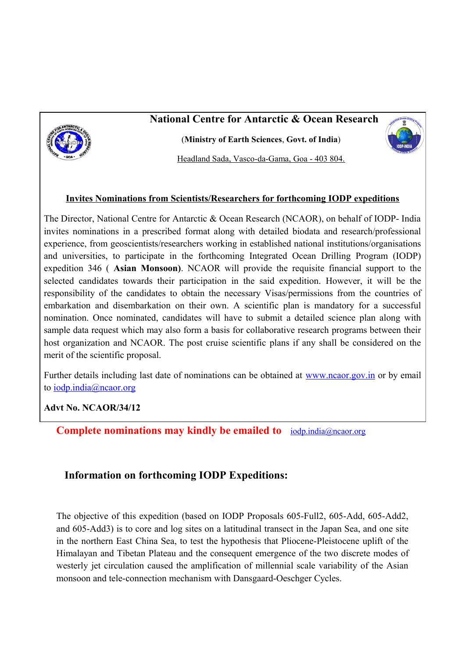# **National Centre for Antarctic & Ocean Research**



(**Ministry of Earth Sciences**, **Govt. of India**)

Headland Sada, Vasco-da-Gama, Goa - 403 804.

#### **Invites Nominations from Scientists/Researchers for forthcoming IODP expeditions**

The Director, National Centre for Antarctic & Ocean Research (NCAOR), on behalf of IODP- India invites nominations in a prescribed format along with detailed biodata and research/professional experience, from geoscientists/researchers working in established national institutions/organisations and universities, to participate in the forthcoming Integrated Ocean Drilling Program (IODP) expedition 346 ( **Asian Monsoon)**. NCAOR will provide the requisite financial support to the selected candidates towards their participation in the said expedition. However, it will be the responsibility of the candidates to obtain the necessary Visas/permissions from the countries of embarkation and disembarkation on their own. A scientific plan is mandatory for a successful nomination. Once nominated, candidates will have to submit a detailed science plan along with sample data request which may also form a basis for collaborative research programs between their host organization and NCAOR. The post cruise scientific plans if any shall be considered on the merit of the scientific proposal.

Further details including last date of nominations can be obtained at [www.ncaor.gov.in](http://www.ncaor.gov.in/) or by email to [iodp.india@ncaor.org](mailto:iodp.india@ncaor.org) 

### **Advt No. NCAOR/34/12**

**Complete nominations may kindly be emailed to** [iodp.india@ncaor.org](mailto:iodp.india@ncaor.org)

## **Information on forthcoming IODP Expeditions:**

The objective of this expedition (based on IODP Proposals 605-Full2, 605-Add, 605-Add2, and 605-Add3) is to core and log sites on a latitudinal transect in the Japan Sea, and one site in the northern East China Sea, to test the hypothesis that Pliocene-Pleistocene uplift of the Himalayan and Tibetan Plateau and the consequent emergence of the two discrete modes of westerly jet circulation caused the amplification of millennial scale variability of the Asian monsoon and tele-connection mechanism with Dansgaard-Oeschger Cycles.